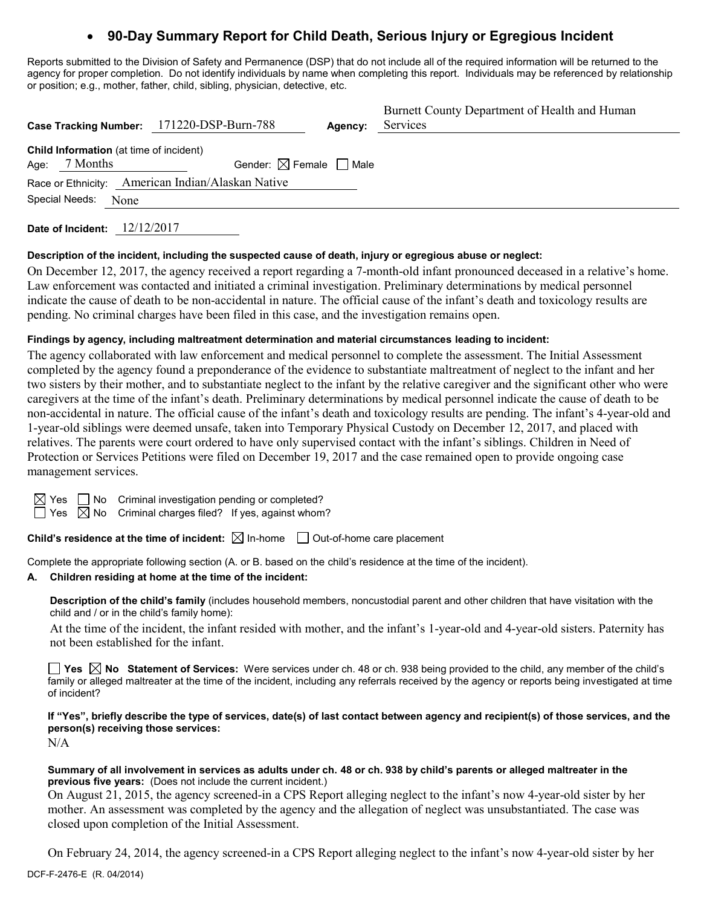# **90-Day Summary Report for Child Death, Serious Injury or Egregious Incident**

Reports submitted to the Division of Safety and Permanence (DSP) that do not include all of the required information will be returned to the agency for proper completion. Do not identify individuals by name when completing this report. Individuals may be referenced by relationship or position; e.g., mother, father, child, sibling, physician, detective, etc.

|                                                | Case Tracking Number: 171220-DSP-Burn-788         | Agency: | Burnett County Department of Health and Human<br>Services |
|------------------------------------------------|---------------------------------------------------|---------|-----------------------------------------------------------|
| <b>Child Information</b> (at time of incident) |                                                   |         |                                                           |
| Age: $7$ Months                                | Gender: $\boxtimes$ Female $\Box$ Male            |         |                                                           |
|                                                | Race or Ethnicity: American Indian/Alaskan Native |         |                                                           |
| Special Needs:<br>None                         |                                                   |         |                                                           |
|                                                |                                                   |         |                                                           |

**Date of Incident:** 12/12/2017

# **Description of the incident, including the suspected cause of death, injury or egregious abuse or neglect:**

On December 12, 2017, the agency received a report regarding a 7-month-old infant pronounced deceased in a relative's home. Law enforcement was contacted and initiated a criminal investigation. Preliminary determinations by medical personnel indicate the cause of death to be non-accidental in nature. The official cause of the infant's death and toxicology results are pending. No criminal charges have been filed in this case, and the investigation remains open.

# **Findings by agency, including maltreatment determination and material circumstances leading to incident:**

The agency collaborated with law enforcement and medical personnel to complete the assessment. The Initial Assessment completed by the agency found a preponderance of the evidence to substantiate maltreatment of neglect to the infant and her two sisters by their mother, and to substantiate neglect to the infant by the relative caregiver and the significant other who were caregivers at the time of the infant's death. Preliminary determinations by medical personnel indicate the cause of death to be non-accidental in nature. The official cause of the infant's death and toxicology results are pending. The infant's 4-year-old and 1-year-old siblings were deemed unsafe, taken into Temporary Physical Custody on December 12, 2017, and placed with relatives. The parents were court ordered to have only supervised contact with the infant's siblings. Children in Need of Protection or Services Petitions were filed on December 19, 2017 and the case remained open to provide ongoing case management services.

| Yes |  |
|-----|--|
| es  |  |

 $\Box$  No Criminal investigation pending or completed?

 $\overline{\boxtimes}$  No  $\;$  Criminal charges filed? If yes, against whom?

**Child's residence at the time of incident:**  $\boxtimes$  In-home  $\Box$  Out-of-home care placement

Complete the appropriate following section (A. or B. based on the child's residence at the time of the incident).

# **A. Children residing at home at the time of the incident:**

**Description of the child's family** (includes household members, noncustodial parent and other children that have visitation with the child and / or in the child's family home):

At the time of the incident, the infant resided with mother, and the infant's 1-year-old and 4-year-old sisters. Paternity has not been established for the infant.

**Yes No Statement of Services:** Were services under ch. 48 or ch. 938 being provided to the child, any member of the child's family or alleged maltreater at the time of the incident, including any referrals received by the agency or reports being investigated at time of incident?

**If "Yes", briefly describe the type of services, date(s) of last contact between agency and recipient(s) of those services, and the person(s) receiving those services:**

N/A

### **Summary of all involvement in services as adults under ch. 48 or ch. 938 by child's parents or alleged maltreater in the previous five years:** (Does not include the current incident.)

On August 21, 2015, the agency screened-in a CPS Report alleging neglect to the infant's now 4-year-old sister by her mother. An assessment was completed by the agency and the allegation of neglect was unsubstantiated. The case was closed upon completion of the Initial Assessment.

On February 24, 2014, the agency screened-in a CPS Report alleging neglect to the infant's now 4-year-old sister by her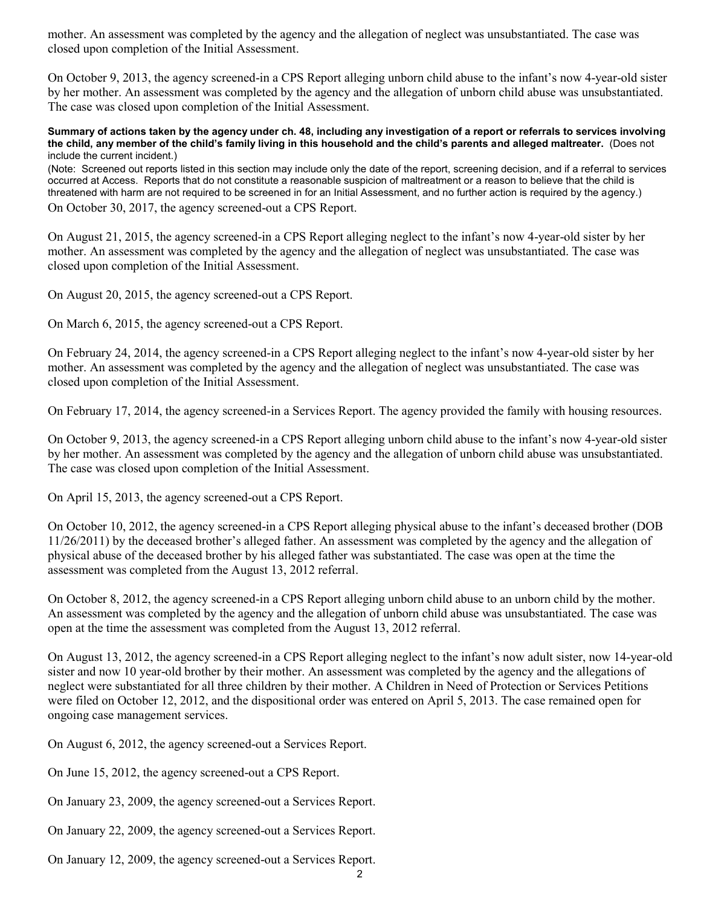mother. An assessment was completed by the agency and the allegation of neglect was unsubstantiated. The case was closed upon completion of the Initial Assessment.

On October 9, 2013, the agency screened-in a CPS Report alleging unborn child abuse to the infant's now 4-year-old sister by her mother. An assessment was completed by the agency and the allegation of unborn child abuse was unsubstantiated. The case was closed upon completion of the Initial Assessment.

#### **Summary of actions taken by the agency under ch. 48, including any investigation of a report or referrals to services involving the child, any member of the child's family living in this household and the child's parents and alleged maltreater.** (Does not include the current incident.)

(Note: Screened out reports listed in this section may include only the date of the report, screening decision, and if a referral to services occurred at Access. Reports that do not constitute a reasonable suspicion of maltreatment or a reason to believe that the child is threatened with harm are not required to be screened in for an Initial Assessment, and no further action is required by the agency.) On October 30, 2017, the agency screened-out a CPS Report.

On August 21, 2015, the agency screened-in a CPS Report alleging neglect to the infant's now 4-year-old sister by her mother. An assessment was completed by the agency and the allegation of neglect was unsubstantiated. The case was closed upon completion of the Initial Assessment.

On August 20, 2015, the agency screened-out a CPS Report.

On March 6, 2015, the agency screened-out a CPS Report.

On February 24, 2014, the agency screened-in a CPS Report alleging neglect to the infant's now 4-year-old sister by her mother. An assessment was completed by the agency and the allegation of neglect was unsubstantiated. The case was closed upon completion of the Initial Assessment.

On February 17, 2014, the agency screened-in a Services Report. The agency provided the family with housing resources.

On October 9, 2013, the agency screened-in a CPS Report alleging unborn child abuse to the infant's now 4-year-old sister by her mother. An assessment was completed by the agency and the allegation of unborn child abuse was unsubstantiated. The case was closed upon completion of the Initial Assessment.

On April 15, 2013, the agency screened-out a CPS Report.

On October 10, 2012, the agency screened-in a CPS Report alleging physical abuse to the infant's deceased brother (DOB 11/26/2011) by the deceased brother's alleged father. An assessment was completed by the agency and the allegation of physical abuse of the deceased brother by his alleged father was substantiated. The case was open at the time the assessment was completed from the August 13, 2012 referral.

On October 8, 2012, the agency screened-in a CPS Report alleging unborn child abuse to an unborn child by the mother. An assessment was completed by the agency and the allegation of unborn child abuse was unsubstantiated. The case was open at the time the assessment was completed from the August 13, 2012 referral.

On August 13, 2012, the agency screened-in a CPS Report alleging neglect to the infant's now adult sister, now 14-year-old sister and now 10 year-old brother by their mother. An assessment was completed by the agency and the allegations of neglect were substantiated for all three children by their mother. A Children in Need of Protection or Services Petitions were filed on October 12, 2012, and the dispositional order was entered on April 5, 2013. The case remained open for ongoing case management services.

On August 6, 2012, the agency screened-out a Services Report.

On June 15, 2012, the agency screened-out a CPS Report.

On January 23, 2009, the agency screened-out a Services Report.

On January 22, 2009, the agency screened-out a Services Report.

On January 12, 2009, the agency screened-out a Services Report.